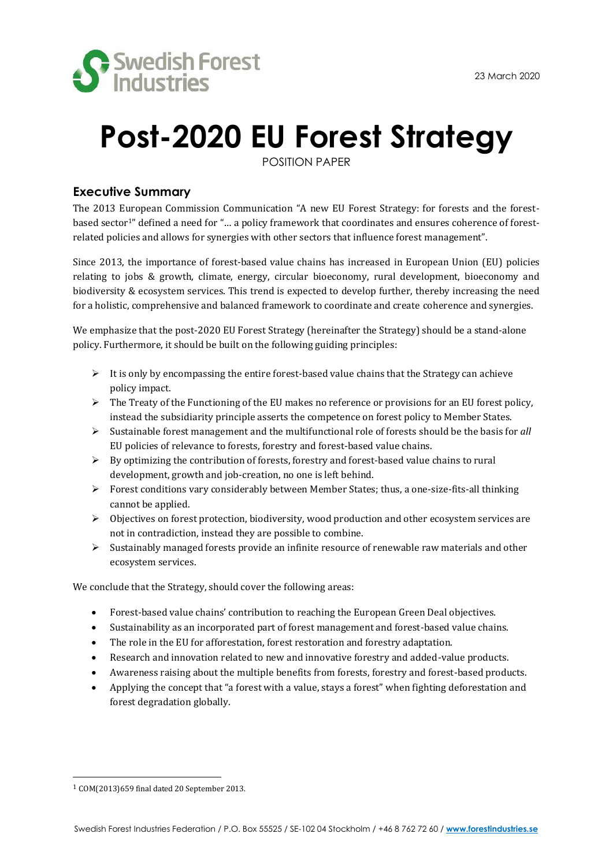

# **Post-2020 EU Forest Strategy**

POSITION PAPER

# **Executive Summary**

The 2013 European Commission Communication "A new EU Forest Strategy: for forests and the forestbased sector<sup>1"</sup> defined a need for "... a policy framework that coordinates and ensures coherence of forestrelated policies and allows for synergies with other sectors that influence forest management".

Since 2013, the importance of forest-based value chains has increased in European Union (EU) policies relating to jobs & growth, climate, energy, circular bioeconomy, rural development, bioeconomy and biodiversity & ecosystem services. This trend is expected to develop further, thereby increasing the need for a holistic, comprehensive and balanced framework to coordinate and create coherence and synergies.

We emphasize that the post-2020 EU Forest Strategy (hereinafter the Strategy) should be a stand-alone policy. Furthermore, it should be built on the following guiding principles:

- $\triangleright$  It is only by encompassing the entire forest-based value chains that the Strategy can achieve policy impact.
- ➢ The Treaty of the Functioning of the EU makes no reference or provisions for an EU forest policy, instead the subsidiarity principle asserts the competence on forest policy to Member States.
- ➢ Sustainable forest management and the multifunctional role of forests should be the basis for *all* EU policies of relevance to forests, forestry and forest-based value chains.
- ➢ By optimizing the contribution of forests, forestry and forest-based value chains to rural development, growth and job-creation, no one is left behind.
- ➢ Forest conditions vary considerably between Member States; thus, a one-size-fits-all thinking cannot be applied.
- $\triangleright$  Objectives on forest protection, biodiversity, wood production and other ecosystem services are not in contradiction, instead they are possible to combine.
- ➢ Sustainably managed forests provide an infinite resource of renewable raw materials and other ecosystem services.

We conclude that the Strategy, should cover the following areas:

- Forest-based value chains' contribution to reaching the European Green Deal objectives.
- Sustainability as an incorporated part of forest management and forest-based value chains.
- The role in the EU for afforestation, forest restoration and forestry adaptation.
- Research and innovation related to new and innovative forestry and added-value products.
- Awareness raising about the multiple benefits from forests, forestry and forest-based products.
- Applying the concept that "a forest with a value, stays a forest" when fighting deforestation and forest degradation globally.

<sup>1</sup> COM(2013)659 final dated 20 September 2013.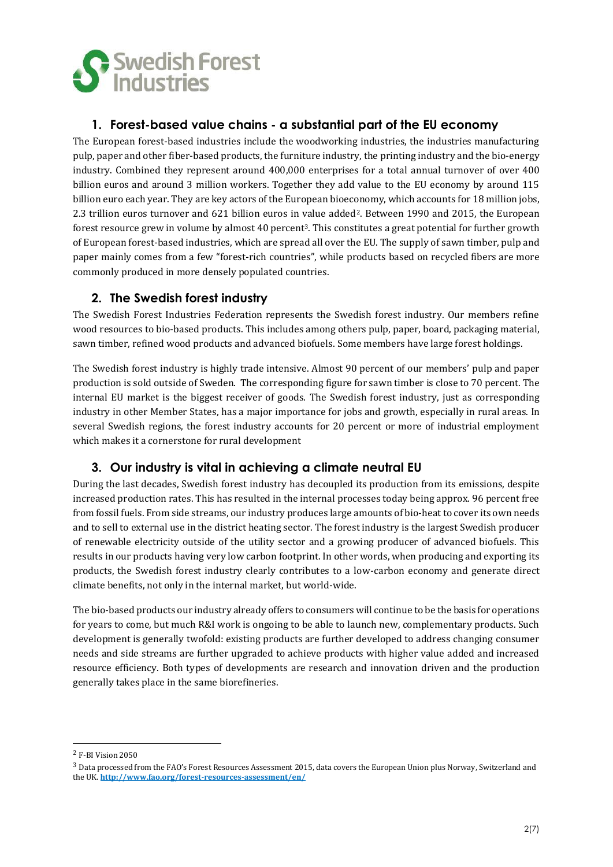

# **1. Forest-based value chains - a substantial part of the EU economy**

The European forest-based industries include the woodworking industries, the industries manufacturing pulp, paper and other fiber-based products, the furniture industry, the printing industry and the bio-energy industry. Combined they represent around 400,000 enterprises for a total annual turnover of over 400 billion euros and around 3 million workers. Together they add value to the EU economy by around 115 billion euro each year. They are key actors of the European bioeconomy, which accounts for 18 million jobs, 2.3 trillion euros turnover and 621 billion euros in value added2. Between 1990 and 2015, the European forest resource grew in volume by almost 40 percent3. This constitutes a great potential for further growth of European forest-based industries, which are spread all over the EU. The supply of sawn timber, pulp and paper mainly comes from a few "forest-rich countries", while products based on recycled fibers are more commonly produced in more densely populated countries.

### **2. The Swedish forest industry**

The Swedish Forest Industries Federation represents the Swedish forest industry. Our members refine wood resources to bio-based products. This includes among others pulp, paper, board, packaging material, sawn timber, refined wood products and advanced biofuels. Some members have large forest holdings.

The Swedish forest industry is highly trade intensive. Almost 90 percent of our members' pulp and paper production is sold outside of Sweden. The corresponding figure for sawn timber is close to 70 percent. The internal EU market is the biggest receiver of goods. The Swedish forest industry, just as corresponding industry in other Member States, has a major importance for jobs and growth, especially in rural areas. In several Swedish regions, the forest industry accounts for 20 percent or more of industrial employment which makes it a cornerstone for rural development

# **3. Our industry is vital in achieving a climate neutral EU**

During the last decades, Swedish forest industry has decoupled its production from its emissions, despite increased production rates. This has resulted in the internal processes today being approx. 96 percent free from fossil fuels. From side streams, our industry produces large amounts of bio-heat to cover its own needs and to sell to external use in the district heating sector. The forest industry is the largest Swedish producer of renewable electricity outside of the utility sector and a growing producer of advanced biofuels. This results in our products having very low carbon footprint. In other words, when producing and exporting its products, the Swedish forest industry clearly contributes to a low-carbon economy and generate direct climate benefits, not only in the internal market, but world-wide.

The bio-based products our industry already offers to consumers will continue to be the basis for operations for years to come, but much R&I work is ongoing to be able to launch new, complementary products. Such development is generally twofold: existing products are further developed to address changing consumer needs and side streams are further upgraded to achieve products with higher value added and increased resource efficiency. Both types of developments are research and innovation driven and the production generally takes place in the same biorefineries.

<sup>2</sup> F-BI Vision 2050

<sup>&</sup>lt;sup>3</sup> Data processed from the FAO's Forest Resources Assessment 2015, data covers the European Union plus Norway, Switzerland and the UK. **<http://www.fao.org/forest-resources-assessment/en/>**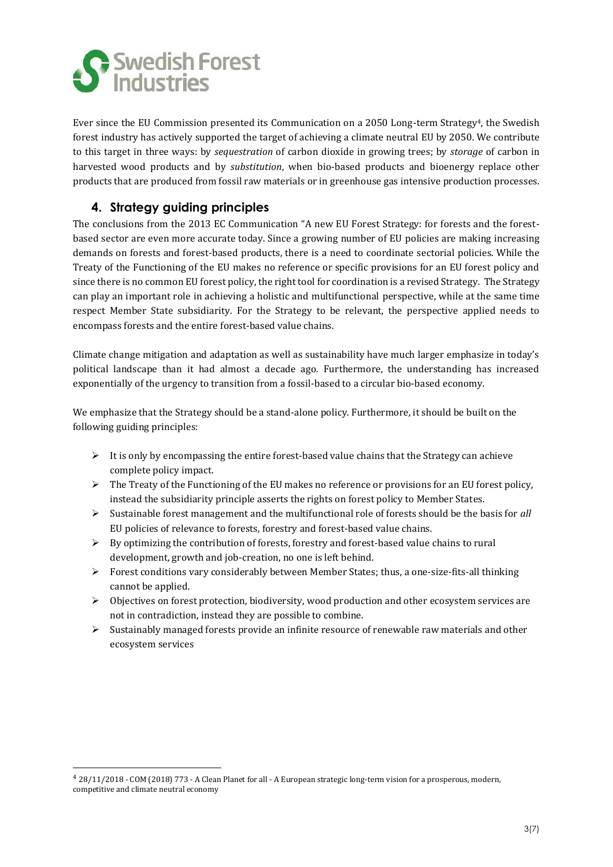

Ever since the EU Commission presented its Communication on a 2050 Long-term Strategy4, the Swedish forest industry has actively supported the target of achieving a climate neutral EU by 2050. We contribute to this target in three ways: by *sequestration* of carbon dioxide in growing trees; by *storage* of carbon in harvested wood products and by *substitution*, when bio-based products and bioenergy replace other products that are produced from fossil raw materials or in greenhouse gas intensive production processes.

# **4. Strategy guiding principles**

The conclusions from the 2013 EC Communication "A new EU Forest Strategy: for forests and the forestbased sector are even more accurate today. Since a growing number of EU policies are making increasing demands on forests and forest-based products, there is a need to coordinate sectorial policies. While the Treaty of the Functioning of the EU makes no reference or specific provisions for an EU forest policy and since there is no common EU forest policy, the right tool for coordination is a revised Strategy. The Strategy can play an important role in achieving a holistic and multifunctional perspective, while at the same time respect Member State subsidiarity. For the Strategy to be relevant, the perspective applied needs to encompass forests and the entire forest-based value chains.

Climate change mitigation and adaptation as well as sustainability have much larger emphasize in today's political landscape than it had almost a decade ago. Furthermore, the understanding has increased exponentially of the urgency to transition from a fossil-based to a circular bio-based economy.

We emphasize that the Strategy should be a stand-alone policy. Furthermore, it should be built on the following guiding principles:

- ➢ It is only by encompassing the entire forest-based value chains that the Strategy can achieve complete policy impact.
- $\triangleright$  The Treaty of the Functioning of the EU makes no reference or provisions for an EU forest policy, instead the subsidiarity principle asserts the rights on forest policy to Member States.
- ➢ Sustainable forest management and the multifunctional role of forests should be the basis for *all* EU policies of relevance to forests, forestry and forest-based value chains.
- $\triangleright$  By optimizing the contribution of forests, forestry and forest-based value chains to rural development, growth and job-creation, no one is left behind.
- $\triangleright$  Forest conditions vary considerably between Member States; thus, a one-size-fits-all thinking cannot be applied.
- ➢ Objectives on forest protection, biodiversity, wood production and other ecosystem services are not in contradiction, instead they are possible to combine.
- $\triangleright$  Sustainably managed forests provide an infinite resource of renewable raw materials and other ecosystem services

<sup>4</sup> 28/11/2018 - COM (2018) 773 - A Clean Planet for all - A European strategic long-term vision for a prosperous, modern, competitive and climate neutral economy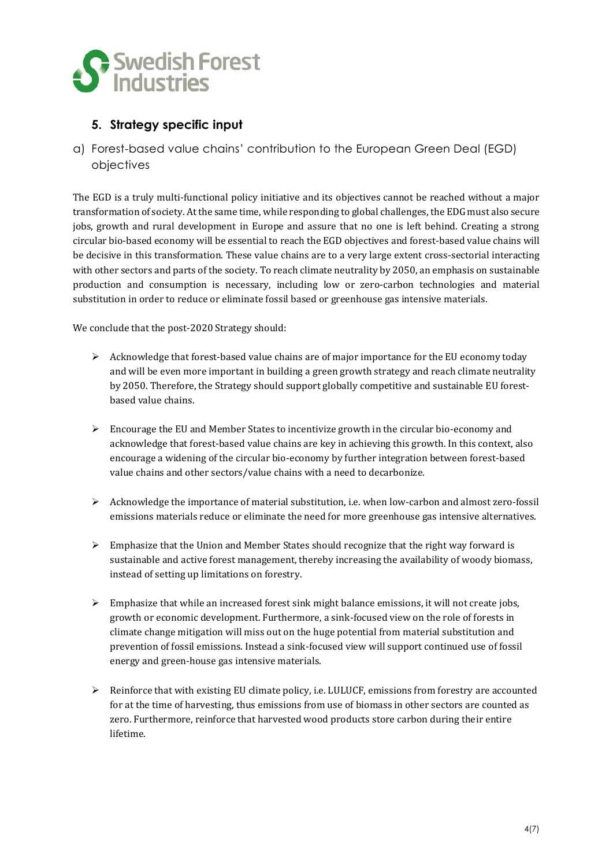

# **5. Strategy specific input**

a) Forest-based value chains' contribution to the European Green Deal (EGD) objectives

The EGD is a truly multi-functional policy initiative and its objectives cannot be reached without a major transformation of society. At the same time, while responding to global challenges, the EDG must also secure jobs, growth and rural development in Europe and assure that no one is left behind. Creating a strong circular bio-based economy will be essential to reach the EGD objectives and forest-based value chains will be decisive in this transformation. These value chains are to a very large extent cross-sectorial interacting with other sectors and parts of the society. To reach climate neutrality by 2050, an emphasis on sustainable production and consumption is necessary, including low or zero-carbon technologies and material substitution in order to reduce or eliminate fossil based or greenhouse gas intensive materials.

We conclude that the post-2020 Strategy should:

- $\triangleright$  Acknowledge that forest-based value chains are of major importance for the EU economy today and will be even more important in building a green growth strategy and reach climate neutrality by 2050. Therefore, the Strategy should support globally competitive and sustainable EU forestbased value chains.
- ➢ Encourage the EU and Member States to incentivize growth in the circular bio-economy and acknowledge that forest-based value chains are key in achieving this growth. In this context, also encourage a widening of the circular bio-economy by further integration between forest-based value chains and other sectors/value chains with a need to decarbonize.
- ➢ Acknowledge the importance of material substitution, i.e. when low-carbon and almost zero-fossil emissions materials reduce or eliminate the need for more greenhouse gas intensive alternatives.
- ➢ Emphasize that the Union and Member States should recognize that the right way forward is sustainable and active forest management, thereby increasing the availability of woody biomass, instead of setting up limitations on forestry.
- $\triangleright$  Emphasize that while an increased forest sink might balance emissions, it will not create jobs, growth or economic development. Furthermore, a sink-focused view on the role of forests in climate change mitigation will miss out on the huge potential from material substitution and prevention of fossil emissions. Instead a sink-focused view will support continued use of fossil energy and green-house gas intensive materials.
- $\triangleright$  Reinforce that with existing EU climate policy, i.e. LULUCF, emissions from forestry are accounted for at the time of harvesting, thus emissions from use of biomass in other sectors are counted as zero. Furthermore, reinforce that harvested wood products store carbon during their entire lifetime.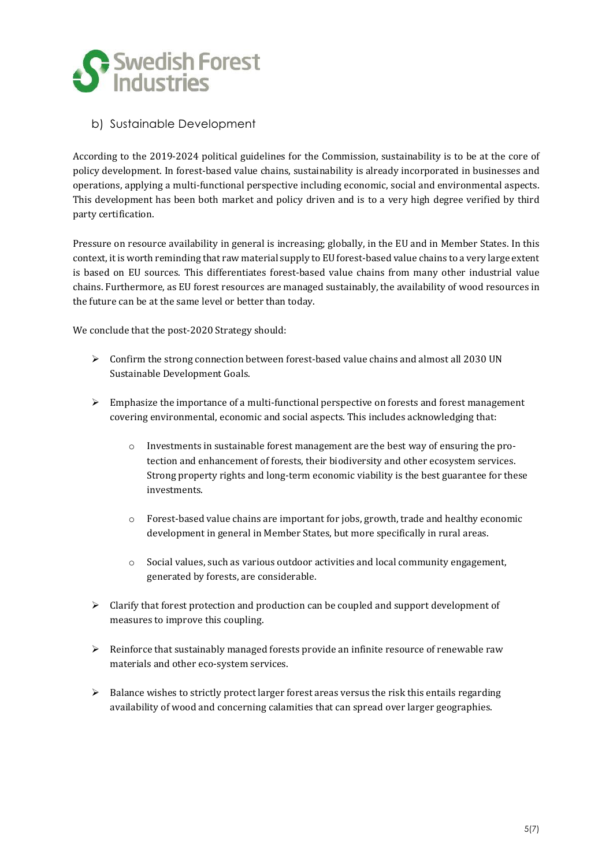

#### b) Sustainable Development

According to the 2019-2024 political guidelines for the Commission, sustainability is to be at the core of policy development. In forest-based value chains, sustainability is already incorporated in businesses and operations, applying a multi-functional perspective including economic, social and environmental aspects. This development has been both market and policy driven and is to a very high degree verified by third party certification.

Pressure on resource availability in general is increasing; globally, in the EU and in Member States. In this context, it is worth reminding that raw material supply to EU forest-based value chains to a very large extent is based on EU sources. This differentiates forest-based value chains from many other industrial value chains. Furthermore, as EU forest resources are managed sustainably, the availability of wood resources in the future can be at the same level or better than today.

We conclude that the post-2020 Strategy should:

- ➢ Confirm the strong connection between forest-based value chains and almost all 2030 UN Sustainable Development Goals.
- ➢ Emphasize the importance of a multi-functional perspective on forests and forest management covering environmental, economic and social aspects. This includes acknowledging that:
	- $\circ$  Investments in sustainable forest management are the best way of ensuring the protection and enhancement of forests, their biodiversity and other ecosystem services. Strong property rights and long-term economic viability is the best guarantee for these investments.
	- $\circ$  Forest-based value chains are important for jobs, growth, trade and healthy economic development in general in Member States, but more specifically in rural areas.
	- $\circ$  Social values, such as various outdoor activities and local community engagement, generated by forests, are considerable.
- $\triangleright$  Clarify that forest protection and production can be coupled and support development of measures to improve this coupling.
- $\triangleright$  Reinforce that sustainably managed forests provide an infinite resource of renewable raw materials and other eco-system services.
- $\triangleright$  Balance wishes to strictly protect larger forest areas versus the risk this entails regarding availability of wood and concerning calamities that can spread over larger geographies.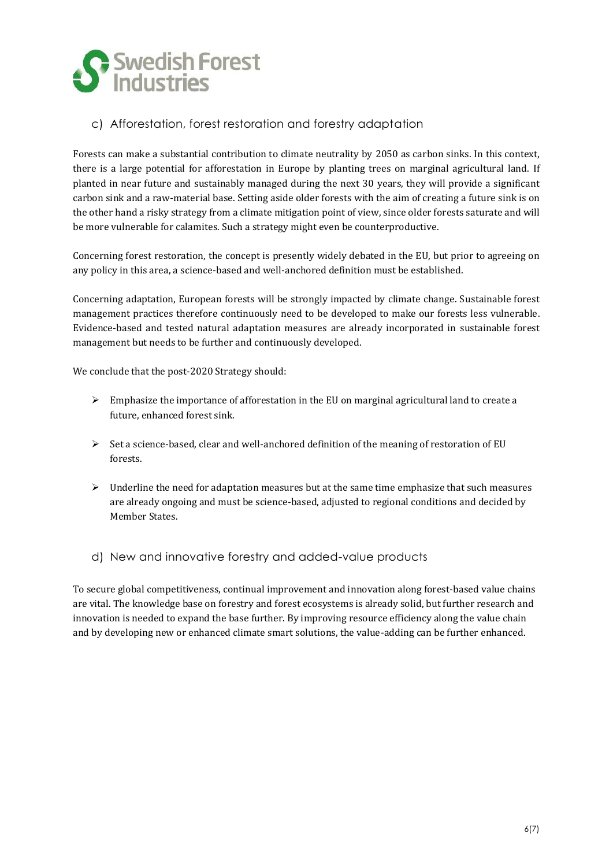

#### c) Afforestation, forest restoration and forestry adaptation

Forests can make a substantial contribution to climate neutrality by 2050 as carbon sinks. In this context, there is a large potential for afforestation in Europe by planting trees on marginal agricultural land. If planted in near future and sustainably managed during the next 30 years, they will provide a significant carbon sink and a raw-material base. Setting aside older forests with the aim of creating a future sink is on the other hand a risky strategy from a climate mitigation point of view, since older forests saturate and will be more vulnerable for calamites. Such a strategy might even be counterproductive.

Concerning forest restoration, the concept is presently widely debated in the EU, but prior to agreeing on any policy in this area, a science-based and well-anchored definition must be established.

Concerning adaptation, European forests will be strongly impacted by climate change. Sustainable forest management practices therefore continuously need to be developed to make our forests less vulnerable. Evidence-based and tested natural adaptation measures are already incorporated in sustainable forest management but needs to be further and continuously developed.

We conclude that the post-2020 Strategy should:

- $\triangleright$  Emphasize the importance of afforestation in the EU on marginal agricultural land to create a future, enhanced forest sink.
- $\triangleright$  Set a science-based, clear and well-anchored definition of the meaning of restoration of EU forests.
- $\triangleright$  Underline the need for adaptation measures but at the same time emphasize that such measures are already ongoing and must be science-based, adjusted to regional conditions and decided by Member States.
- d) New and innovative forestry and added-value products

To secure global competitiveness, continual improvement and innovation along forest-based value chains are vital. The knowledge base on forestry and forest ecosystems is already solid, but further research and innovation is needed to expand the base further. By improving resource efficiency along the value chain and by developing new or enhanced climate smart solutions, the value-adding can be further enhanced.